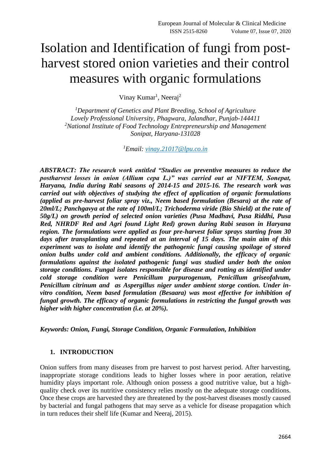# Isolation and Identification of fungi from postharvest stored onion varieties and their control measures with organic formulations

Vinay Kumar<sup>1</sup>, Neeraj<sup>2</sup>

*<sup>1</sup>Department of Genetics and Plant Breeding, School of Agriculture Lovely Professional University, Phagwara, Jalandhar, Punjab-144411 <sup>2</sup>National Institute of Food Technology Entrepreneurship and Management Sonipat, Haryana-131028*

*<sup>1</sup>Email: [vinay.21017@lpu.co.in](mailto:vinay.21017@lpu.co.in)*

*ABSTRACT: The research work entitled "Studies on preventive measures to reduce the postharvest losses in onion (Allium cepa L.)" was carried out at NIFTEM, Sonepat, Haryana, India during Rabi seasons of 2014-15 and 2015-16. The research work was carried out with objectives of studying the effect of application of organic formulations (applied as pre-harvest foliar spray viz., Neem based formulation (Besara) at the rate of 20ml/L; Panchgavya at the rate of 100ml/L; Trichoderma viride (Bio Shield) at the rate of 50g/L) on growth period of selected onion varieties (Pusa Madhavi, Pusa Riddhi, Pusa Red, NHRDF Red and Agri found Light Red) grown during Rabi season in Haryana region. The formulations were applied as four pre-harvest foliar sprays starting from 30 days after transplanting and repeated at an interval of 15 days. The main aim of this experiment was to isolate and identify the pathogenic fungi causing spoilage of stored onion bulbs under cold and ambient conditions. Additionally, the efficacy of organic formulations against the isolated pathogenic fungi was studied under both the onion storage conditions. Fungal isolates responsible for disease and rotting as identified under cold storage condition were Penicillum purpurogenum, Penicillum griseofalvum, Penicillum citrinum and as Aspergillus niger under ambient storge contion. Under invitro condition, Neem based formulation (Besaara) was most effective for inhibition of fungal growth. The efficacy of organic formulations in restricting the fungal growth was higher with higher concentration (i.e. at 20%).* 

*Keywords: Onion, Fungi, Storage Condition, Organic Formulation, Inhibition*

#### **1. INTRODUCTION**

Onion suffers from many diseases from pre harvest to post harvest period. After harvesting, inappropriate storage conditions leads to higher losses where in poor aeration, relative humidity plays important role. Although onion possess a good nutritive value, but a highquality check over its nutritive consistency relies mostly on the adequate storage conditions. Once these crops are harvested they are threatened by the post-harvest diseases mostly caused by bacterial and fungal pathogens that may serve as a vehicle for disease propagation which in turn reduces their shelf life (Kumar and Neeraj, 2015).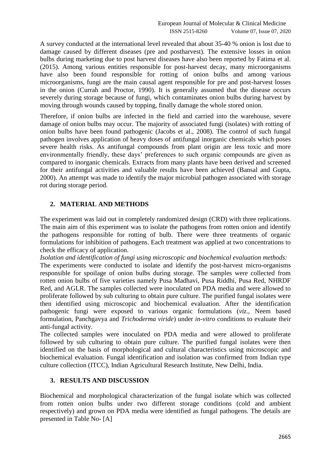A survey conducted at the international level revealed that about 35-40 % onion is lost due to damage caused by different diseases (pre and postharvest). The extensive losses in onion bulbs during marketing due to post harvest diseases have also been reported by Fatima et al. (2015). Among various entities responsible for post-harvest decay, many microorganisms have also been found responsible for rotting of onion bulbs and among various microorganisms, fungi are the main causal agent responsible for pre and post-harvest losses in the onion (Currah and Proctor, 1990). It is generally assumed that the disease occurs severely during storage because of fungi, which contaminates onion bulbs during harvest by moving through wounds caused by topping, finally damage the whole stored onion.

Therefore, if onion bulbs are infected in the field and carried into the warehouse, severe damage of onion bulbs may occur. The majority of associated fungi (isolates) with rotting of onion bulbs have been found pathogenic (Jacobs et al., 2008). The control of such fungal pathogen involves application of heavy doses of antifungal inorganic chemicals which poses severe health risks. As antifungal compounds from plant origin are less toxic and more environmentally friendly, these days' preferences to such organic compounds are given as compared to inorganic chemicals. Extracts from many plants have been derived and screened for their antifungal activities and valuable results have been achieved (Bansal and Gupta, 2000). An attempt was made to identify the major microbial pathogen associated with storage rot during storage period.

## **2. MATERIAL AND METHODS**

The experiment was laid out in completely randomized design (CRD) with three replications. The main aim of this experiment was to isolate the pathogens from rotten onion and identify the pathogens responsible for rotting of bulb. There were three treatments of organic formulations for inhibition of pathogens. Each treatment was applied at two concentrations to check the efficacy of application.

*Isolation and identification of fungi using microscopic and biochemical evaluation methods:* The experiments were conducted to isolate and identify the post-harvest micro-organisms responsible for spoilage of onion bulbs during storage. The samples were collected from rotten onion bulbs of five varieties namely Pusa Madhavi, Pusa Riddhi, Pusa Red, NHRDF Red, and AGLR. The samples collected were inoculated on PDA media and were allowed to proliferate followed by sub culturing to obtain pure culture. The purified fungal isolates were then identified using microscopic and biochemical evaluation. After the identification pathogenic fungi were exposed to various organic formulations (*viz.,* Neem based formulation, Panchgavya and *Trichoderma viride*) under *in-vitro* conditions to evaluate their anti-fungal activity.

The collected samples were inoculated on PDA media and were allowed to proliferate followed by sub culturing to obtain pure culture. The purified fungal isolates were then identified on the basis of morphological and cultural characteristics using microscopic and biochemical evaluation. Fungal identification and isolation was confirmed from Indian type culture collection (ITCC), Indian Agricultural Research Institute, New Delhi, India.

# **3. RESULTS AND DISCUSSION**

Biochemical and morphological characterization of the fungal isolate which was collected from rotten onion bulbs under two different storage conditions (cold and ambient respectively) and grown on PDA media were identified as fungal pathogens. The details are presented in Table No- [A]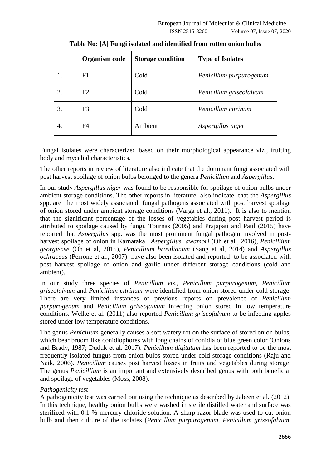|    | Organism code  | <b>Storage condition</b> | <b>Type of Isolates</b> |
|----|----------------|--------------------------|-------------------------|
| 1. | F1             | Cold                     | Penicillum purpurogenum |
| 2. | F2             | Cold                     | Penicillum griseofalvum |
| 3. | F <sub>3</sub> | Cold                     | Penicillum citrinum     |
| 4. | F4             | Ambient                  | Aspergillus niger       |

**Table No: [A] Fungi isolated and identified from rotten onion bulbs**

Fungal isolates were characterized based on their morphological appearance viz., fruiting body and mycelial characteristics.

The other reports in review of literature also indicate that the dominant fungi associated with post harvest spoilage of onion bulbs belonged to the genera *Penicillum* and *Aspergillus*.

In our study *Aspergillus niger* was found to be responsible for spoilage of onion bulbs under ambient storage conditions. The other reports in literature also indicate that the *Aspergillus* spp. are the most widely associated fungal pathogens associated with post harvest spoilage of onion stored under ambient storage conditions (Varga et al., 2011). It is also to mention that the significant percentage of the losses of vegetables during post harvest period is attributed to spoilage caused by fungi. Tournas (2005) and Prajapati and Patil (2015) have reported that *Aspergillus* spp. was the most prominent fungal pathogen involved in postharvest spoilage of onion in Karnataka. *Aspergillus awamori* (Oh et al., 2016), *Penicillium georgiense* (Oh et al, 2015), *Penicillium brasilianum* (Sang et al, 2014) and *Aspergillus ochraceus* (Perrone et al., 2007) have also been isolated and reported to be associated with post harvest spoilage of onion and garlic under different storage conditions (cold and ambient).

In our study three species of *Penicillum viz., Penicillum purpurogenum, Penicillum griseofalvum* and *Penicillum citrinum* were identified from onion stored under cold storage. There are very limited instances of previous reports on prevalence of *Penicillum purpurogenum* and *Penicillum griseofalvum* infecting onion stored in low temperature conditions. Welke et al. (2011) also reported *Penicillum griseofalvum* to be infecting apples stored under low temperature conditions.

The genus *Penicillum* generally causes a soft watery rot on the surface of stored onion bulbs, which bear broom like conidiophores with long chains of conidia of blue green color (Onions and Brady, 1987; Duduk et al. 2017). *Penicillum digitatum* has been reported to be the most frequently isolated fungus from onion bulbs stored under cold storage conditions (Raju and Naik, 2006). *Penicillum* causes post harvest losses in fruits and vegetables during storage. The genus *Penicillium* is an important and extensively described genus with both beneficial and spoilage of vegetables (Moss, 2008).

#### *Pathogenicity test*

A pathogenicity test was carried out using the technique as described by Jabeen et al. (2012). In this technique, healthy onion bulbs were washed in sterile distilled water and surface was sterilized with 0.1 % mercury chloride solution. A sharp razor blade was used to cut onion bulb and then culture of the isolates (*Penicillum purpurogenum, Penicillum griseofalvum,*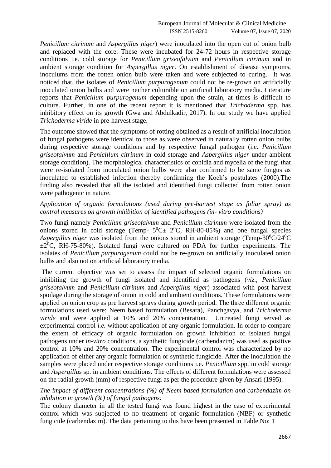*Penicillum citrinum* and *Aspergillus niger*) were inoculated into the open cut of onion bulb and replaced with the core. These were incubated for 24-72 hours in respective storage conditions i.e. cold storage for *Penicillum griseofalvum* and *Penicillum citrinum* and in ambient storage condition for *Aspergillus niger*. On establishment of disease symptoms, inoculums from the rotten onion bulb were taken and were subjected to curing. It was noticed that, the isolates of *Penicillum purpurogenum* could not be re-grown on artificially inoculated onion bulbs and were neither culturable on artificial laboratory media. Literature reports that *Penicillum purpurogenum* depending upon the strain, at times is difficult to culture. Further, in one of the recent report it is mentioned that *Trichoderma* spp. has inhibitory effect on its growth (Gwa and Abdulkadir, 2017). In our study we have applied *Trichoderma viride* in pre-harvest stage.

The outcome showed that the symptoms of rotting obtained as a result of artificial inoculation of fungal pathogens were identical to those as were observed in naturally rotten onion bulbs during respective storage conditions and by respective fungal pathogen (i.e. *Penicillum griseofalvum* and *Penicillum citrinum* in cold storage and *Aspergillus niger* under ambient storage condition). The morphological characteristics of conidia and mycelia of the fungi that were re-isolated from inoculated onion bulbs were also confirmed to be same fungus as inoculated to established infection thereby confirming the Koch's postulates (2000).The finding also revealed that all the isolated and identified fungi collected from rotten onion were pathogenic in nature.

#### *Application of organic formulations (used during pre-harvest stage as foliar spray) as control measures on growth inhibition of identified pathogens (in- vitro conditions)*

Two fungi namely *Penicillum griseofalvum* and *Penicillum citrinum* were isolated from the onions stored in cold storage (Temp-  $5^0C \pm 2^0C$ , RH-80-85%) and one fungal species *Aspergillus niger* was isolated from the onions stored in ambient storage (Temp-30 $^0C/24^0C$ )  $\pm 2^{0}$ C, RH-75-80%). Isolated fungi were cultured on PDA for further experiments. The isolates of *Penicillum purpurogenum* could not be re-grown on artificially inoculated onion bulbs and also not on artificial laboratory media.

The current objective was set to assess the impact of selected organic formulations on inhibiting the growth of fungi isolated and identified as pathogens (*viz., Penicillum griseofalvum* and *Penicillum citrinum* and *Aspergillus niger*) associated with post harvest spoilage during the storage of onion in cold and ambient conditions. These formulations were applied on onion crop as pre harvest sprays during growth period. The three different organic formulations used were: Neem based formulation (Besara), Panchgavya, and *Trichoderma viride* and were applied at 10% and 20% concentration. Untreated fungi served as experimental control *i.e.* without application of any organic formulation. In order to compare the extent of efficacy of organic formulation on growth inhibition of isolated fungal pathogens under *in-vitro* conditions, a synthetic fungicide (carbendazim) was used as positive control at 10% and 20% concentration. The experimental control was characterized by no application of either any organic formulation or synthetic fungicide. After the inoculation the samples were placed under respective storage conditions i.e. *Penicillium* spp. in cold storage and *Aspergillus* sp. in ambient conditions. The effects of different formulations were assessed on the radial growth (mm) of respective fungi as per the procedure given by Ansari (1995).

## *The impact of different concentrations (%) of Neem based formulation and carbendazim on inhibition in growth (%) of fungal pathogens:*

The colony diameter in all the tested fungi was found highest in the case of experimental control which was subjected to no treatment of organic formulation (NBF) or synthetic fungicide (carbendazim). The data pertaining to this have been presented in Table No: 1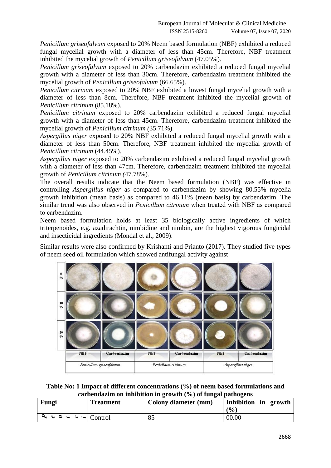*Penicillum griseofalvum* exposed to 20% Neem based formulation (NBF) exhibited a reduced fungal mycelial growth with a diameter of less than 45cm. Therefore, NBF treatment inhibited the mycelial growth of *Penicillum griseofalvum* (47.05%).

*Penicillum griseofalvum* exposed to 20% carbendazim exhibited a reduced fungal mycelial growth with a diameter of less than 30cm. Therefore, carbendazim treatment inhibited the mycelial growth of *Penicillum griseofalvum* (66.65%).

*Penicillum citrinum* exposed to 20% NBF exhibited a lowest fungal mycelial growth with a diameter of less than 8cm. Therefore, NBF treatment inhibited the mycelial growth of *Penicillum citrinum* (85.18%).

*Penicillum citrinum* exposed to 20% carbendazim exhibited a reduced fungal mycelial growth with a diameter of less than 45cm. Therefore, carbendazim treatment inhibited the mycelial growth of *Penicillum citrinum (*35.71%).

*Aspergillus niger* exposed to 20% NBF exhibited a reduced fungal mycelial growth with a diameter of less than 50cm. Therefore, NBF treatment inhibited the mycelial growth of *Penicillum citrinum* (44.45%).

*Aspergillus niger* exposed to 20% carbendazim exhibited a reduced fungal mycelial growth with a diameter of less than 47cm. Therefore, carbendazim treatment inhibited the mycelial growth of *Penicillum citrinum (*47.78%).

The overall results indicate that the Neem based formulation (NBF) was effective in controlling *Aspergillus niger* as compared to carbendazim by showing 80.55% mycelia growth inhibition (mean basis) as compared to 46.11% (mean basis) by carbendazim. The similar trend was also observed in *Penicillum citrinum* when treated with NBF as compared to carbendazim.

Neem based formulation holds at least 35 biologically active ingredients of which triterpenoides, e.g. azadirachtin, nimbidine and nimbin, are the highest vigorous fungicidal and insecticidal ingredients (Mondal et al., 2009).

Similar results were also confirmed by Krishanti and Prianto (2017). They studied five types of neem seed oil formulation which showed antifungal activity against



**Table No: 1 Impact of different concentrations (%) of neem based formulations and carbendazim on inhibition in growth (%) of fungal pathogens**

| Fungi                                                    | <b>Treatment</b> | Colony diameter (mm) | Inhibition in growth<br>(0/0) |
|----------------------------------------------------------|------------------|----------------------|-------------------------------|
| $\sim$ $\sim$ $\sim$ $\sim$ $\sim$ $\sim$ $\sim$ Control |                  | 85                   | 00.00                         |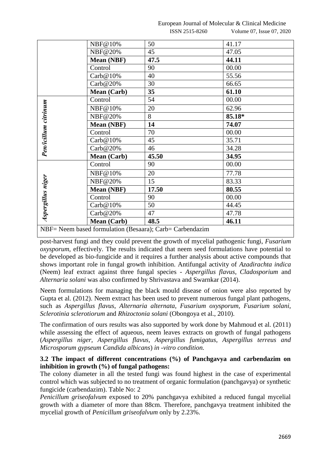European Journal of Molecular & Clinical Medicine ISSN 2515-8260 Volume 07, Issue 07, 2020

|                                                          | NBF@10%            | 50    | 41.17  |
|----------------------------------------------------------|--------------------|-------|--------|
|                                                          | NBF@20%            | 45    | 47.05  |
|                                                          | Mean (NBF)         | 47.5  | 44.11  |
|                                                          | Control            | 90    | 00.00  |
|                                                          | $\text{Carb@10\%}$ | 40    | 55.56  |
|                                                          | $\text{Carb@20\%}$ | 30    | 66.65  |
|                                                          | <b>Mean</b> (Carb) | 35    | 61.10  |
|                                                          | Control            | 54    | 00.00  |
| Pen/icillum citrinum                                     | NBF@10%            | 20    | 62.96  |
|                                                          | NBF@20%            | 8     | 85.18* |
|                                                          | Mean (NBF)         | 14    | 74.07  |
|                                                          | Control            | 70    | 00.00  |
|                                                          | $\text{Carb@10\%}$ | 45    | 35.71  |
|                                                          | $\text{Carb@20\%}$ | 46    | 34.28  |
|                                                          | Mean (Carb)        | 45.50 | 34.95  |
|                                                          | Control            | 90    | 00.00  |
|                                                          | NBF@10%            | 20    | 77.78  |
|                                                          | NBF@20%            | 15    | 83.33  |
| Aspergillus niger                                        | Mean (NBF)         | 17.50 | 80.55  |
|                                                          | Control            | 90    | 00.00  |
|                                                          | $\text{Carb@10\%}$ | 50    | 44.45  |
|                                                          | $\text{Carb@20\%}$ | 47    | 47.78  |
|                                                          | Mean (Carb)        | 48.5  | 46.11  |
| NBF= Neem based formulation (Besaara); Carb= Carbendazim |                    |       |        |

post-harvest fungi and they could prevent the growth of mycelial pathogenic fungi, *Fusarium oxysporum*, effectively. The results indicated that neem seed formulations have potential to be developed as bio-fungicide and it requires a further analysis about active compounds that shows important role in fungal growth inhibition. Antifungal activity of *Azadirachta indica* (Neem) leaf extract against three fungal species - *Aspergillus flavus*, *Cladosporium* and *Alternaria solani* was also confirmed by Shrivastava and Swarnkar (2014).

Neem formulations for managing the black mould disease of onion were also reported by Gupta et al. (2012). Neem extract has been used to prevent numerous fungal plant pathogens, such as *Aspergillus flavus*, *Alternaria alternata*, *Fusarium oxysporum*, *Fusarium solani*, *Sclerotinia sclerotiorum* and *Rhizoctonia solani* (Obongoya et al., 2010).

The confirmation of ours results was also supported by work done by Mahmoud et al. (2011) while assessing the effect of aqueous, neem leaves extracts on growth of fungal pathogens (*Aspergillus niger, Aspergillus flavus, Aspergillus fumigatus, Aspergillus terreus and Microsporum gypseum Candida albicans*) *in -vitro condition.*

# **3.2 The impact of different concentrations (%) of Panchgavya and carbendazim on inhibition in growth (%) of fungal pathogens:**

The colony diameter in all the tested fungi was found highest in the case of experimental control which was subjected to no treatment of organic formulation (panchgavya) or synthetic fungicide (carbendazim). Table No: 2

*Penicillum griseofalvum* exposed to 20% panchgavya exhibited a reduced fungal mycelial growth with a diameter of more than 88cm. Therefore, panchgavya treatment inhibited the mycelial growth of *Penicillum griseofalvum* only by 2.23%.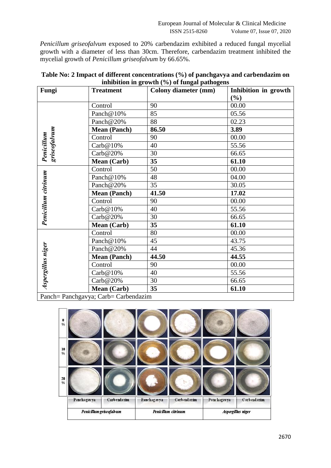*Penicillum griseofalvum* exposed to 20% carbendazim exhibited a reduced fungal mycelial growth with a diameter of less than 30cm. Therefore, carbendazim treatment inhibited the mycelial growth of *Penicillum griseofalvum* by 66.65%.

| Fungi                      | <b>Treatment</b>                                              | $\overline{\phantom{a}}$<br><b>Colony diameter (mm)</b> | Inhibition in growth |
|----------------------------|---------------------------------------------------------------|---------------------------------------------------------|----------------------|
|                            |                                                               |                                                         | (%)                  |
|                            | Control                                                       | 90                                                      | 00.00                |
|                            | Panch $@10\%$                                                 | 85                                                      | 05.56                |
|                            | Panch@20%                                                     | 88                                                      | 02.23                |
|                            | <b>Mean (Panch)</b>                                           | 86.50                                                   | 3.89                 |
| Penicillum<br>griseofalvum | Control                                                       | 90                                                      | 00.00                |
|                            | $\text{Carb@10\%}$                                            | 40                                                      | 55.56                |
|                            | $\text{Carb@20\%}$                                            | 30                                                      | 66.65                |
|                            | <b>Mean</b> (Carb)                                            | 35                                                      | 61.10                |
|                            | Control                                                       | 50                                                      | 00.00                |
|                            | Panch@10%                                                     | 48                                                      | 04.00                |
|                            | Panch@20%                                                     | 35                                                      | 30.05                |
| Penicillum citrinum        | <b>Mean (Panch)</b>                                           | 41.50                                                   | 17.02                |
|                            | Control                                                       | 90                                                      | 00.00                |
|                            | Carb@10%                                                      | 40                                                      | 55.56                |
|                            | Carb@20%                                                      | 30                                                      | 66.65                |
|                            | Mean (Carb)                                                   | 35                                                      | 61.10                |
|                            | Control                                                       | 80                                                      | 00.00                |
|                            | Panch@10%                                                     | 45                                                      | 43.75                |
|                            | Panch@20%                                                     | 44                                                      | 45.36                |
|                            | <b>Mean (Panch)</b>                                           | 44.50                                                   | 44.55                |
|                            | Control                                                       | 90                                                      | 00.00                |
| Aspergillus niger          | $\text{Carb@10\%}$                                            | 40                                                      | 55.56                |
|                            | Carb@20%                                                      | 30                                                      | 66.65                |
|                            | <b>Mean (Carb)</b><br>Danah Danah garupa Carly Carly and anim | 35                                                      | 61.10                |

| Table No: 2 Impact of different concentrations (%) of panchgavya and carbendazim on |
|-------------------------------------------------------------------------------------|
| inhibition in growth $(\%)$ of fungal pathogens                                     |

Panch= Panchgavya; Carb= Carbendazim

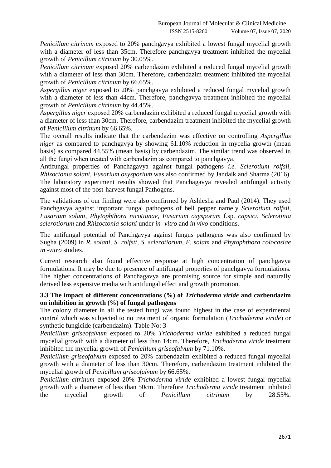*Penicillum citrinum* exposed to 20% panchgavya exhibited a lowest fungal mycelial growth with a diameter of less than 35cm. Therefore panchgavya treatment inhibited the mycelial growth of *Penicillum citrinum* by 30.05%.

*Penicillum citrinum* exposed 20% carbendazim exhibited a reduced fungal mycelial growth with a diameter of less than 30cm. Therefore, carbendazim treatment inhibited the mycelial growth of *Penicillum citrinum* by 66.65%.

*Aspergillus niger* exposed to 20% panchgavya exhibited a reduced fungal mycelial growth with a diameter of less than 44cm. Therefore, panchgavya treatment inhibited the mycelial growth of *Penicillum citrinum* by 44.45%.

*Aspergillus niger* exposed 20% carbendazim exhibited a reduced fungal mycelial growth with a diameter of less than 30cm. Therefore, carbendazim treatment inhibited the mycelial growth of *Penicillum citrinum* by 66.65%.

The overall results indicate that the carbendazim was effective on controlling *Aspergillus niger* as compared to panchgavya by showing 61.10% reduction in mycelia growth (mean basis) as compared 44.55% (mean basis) by carbendazim. The similar trend was observed in all the fungi when treated with carbendazim as compared to panchgavya.

Antifungal properties of Panchagavya against fungal pathogens *i.e. Sclerotium rolfsii, Rhizoctonia solani*, *Fusarium oxysporium* was also confirmed by Jandaik and Sharma (2016). The laboratory experiment results showed that Panchagavya revealed antifungal activity against most of the post-harvest fungal Pathogens.

The validations of our finding were also confirmed by Ashlesha and Paul (2014). They used Panchgavya against important fungal pathogens of bell pepper namely *Sclerotium rolfsii, Fusarium solani*, *Phytophthora nicotianae*, *Fusarium oxysporum* f.sp. *capsici*, *Sclerotinia sclerotiorum* and *Rhizoctonia solani* under *in- vitro* and *in vivo* conditions.

The antifungal potential of Panchgavya against fungus pathogens was also confirmed by Sugha (2009) in *R. solani, S. rolfstt, S. sclerotiorum, F. solam* and *Phytophthora colocasiae in -vitro* studies.

Current research also found effective response at high concentration of panchgavya formulations. It may be due to presence of antifungal properties of panchgavya formulations. The higher concentrations of Panchagavya are promising source for simple and naturally derived less expensive media with antifungal effect and growth promotion.

## **3.3 The impact of different concentrations (%) of** *Trichoderma viride* **and carbendazim on inhibition in growth (%) of fungal pathogens**

The colony diameter in all the tested fungi was found highest in the case of experimental control which was subjected to no treatment of organic formulation (*Trichoderma viride*) or synthetic fungicide (carbendazim). Table No: 3

*Penicillum griseofalvum* exposed to 20% *Trichoderma viride* exhibited a reduced fungal mycelial growth with a diameter of less than 14cm. Therefore, *Trichoderma viride* treatment inhibited the mycelial growth of *Penicillum griseofalvum* by 71.10%.

*Penicillum griseofalvum* exposed to 20% carbendazim exhibited a reduced fungal mycelial growth with a diameter of less than 30cm. Therefore, carbendazim treatment inhibited the mycelial growth of *Penicillum griseofalvum* by 66.65%.

*Penicillum citrinum* exposed 20% *Trichoderma viride* exhibited a lowest fungal mycelial growth with a diameter of less than 50cm. Therefore *Trichoderma viride* treatment inhibited the mycelial growth of *Penicillum citrinum* by 28.55%.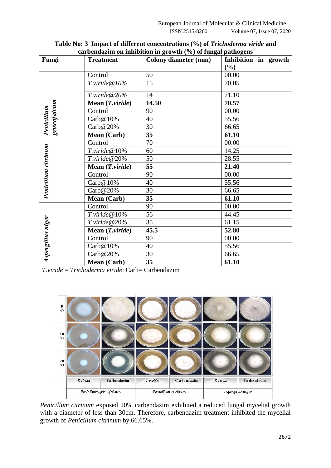| Fungi                                            | <b>Treatment</b>                          | <b>Colony diameter (mm)</b> | r ------ <del></del> ----<br>Inhibition in growth |
|--------------------------------------------------|-------------------------------------------|-----------------------------|---------------------------------------------------|
|                                                  |                                           |                             | $(\%)$                                            |
|                                                  | Control                                   | 50                          | 00.00                                             |
|                                                  | T.viride@10%                              | 15                          | 70.05                                             |
|                                                  | $T.\text{viride} @ 20\%$                  | 14                          | 71.10                                             |
|                                                  | Mean (T.viride)                           | 14.50                       | 70.57                                             |
|                                                  | Control                                   | 90                          | 00.00                                             |
|                                                  | $\text{Carb@10\%}$                        | 40                          | 55.56                                             |
| griseofalvum<br>Penicillum                       | $\text{Carb@20\%}$                        | 30                          | 66.65                                             |
|                                                  | Mean (Carb)                               | 35                          | 61.10                                             |
|                                                  | Control                                   | 70                          | 00.00                                             |
|                                                  | $T.\text{viride} \ \textcircled{a}\ 10\%$ | 60                          | 14.25                                             |
|                                                  | $T.\text{viride} @ 20\%$                  | 50                          | 28.55                                             |
| Penicillum citrinum                              | Mean $(T.\textit{viride})$                | 55                          | 21.40                                             |
|                                                  | Control                                   | 90                          | 00.00                                             |
|                                                  | $\text{Carb@10\%}$                        | 40                          | 55.56                                             |
|                                                  | $\text{Carb@20\%}$                        | 30                          | 66.65                                             |
|                                                  | Mean (Carb)                               | 35                          | 61.10                                             |
|                                                  | Control                                   | 90                          | 00.00                                             |
|                                                  | $T.\text{viride} \ \textcircled{a}\ 10\%$ | 56                          | 44.45                                             |
|                                                  | $T.\text{viride} @ 20\%$                  | 35                          | 61.15                                             |
| Aspergillus niger                                | Mean $(Tviride)$                          | 45.5                        | 52.80                                             |
|                                                  | Control                                   | 90                          | 00.00                                             |
|                                                  | Carb@10%                                  | 40                          | 55.56                                             |
|                                                  | $\text{Carb@20\%}$                        | 30                          | 66.65                                             |
|                                                  | Mean (Carb)                               | 35                          | 61.10                                             |
| T.viride = Trichoderma viride; Carb= Carbendazim |                                           |                             |                                                   |

**Table No: 3 Impact of different concentrations (%) of** *Trichoderma viride* **and carbendazim on inhibition in growth (%) of fungal pathogens**



*Penicillum citrinum* exposed 20% carbendazim exhibited a reduced fungal mycelial growth with a diameter of less than 30cm. Therefore, carbendazim treatment inhibited the mycelial growth of *Penicillum citrinum* by 66.65%.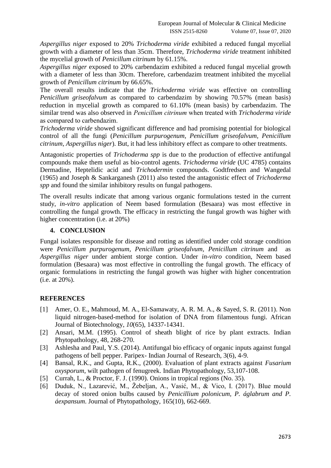*Aspergillus niger* exposed to 20% *Trichoderma viride* exhibited a reduced fungal mycelial growth with a diameter of less than 35cm. Therefore, *Trichoderma viride* treatment inhibited the mycelial growth of *Penicillum citrinum* by 61.15%.

*Aspergillus niger* exposed to 20% carbendazim exhibited a reduced fungal mycelial growth with a diameter of less than 30cm. Therefore, carbendazim treatment inhibited the mycelial growth of *Penicillum citrinum* by 66.65%.

The overall results indicate that the *Trichoderma viride* was effective on controlling *Penicillum griseofalvum* as compared to carbendazim by showing 70.57% (mean basis) reduction in mycelial growth as compared to 61.10% (mean basis) by carbendazim. The similar trend was also observed in *Penicillum citrinum* when treated with *Trichoderma viride* as compared to carbendazim.

*Trichoderma viride* showed significant difference and had promising potential for biological control of all the fungi (*Penicillum purpurogenum, Penicillum griseofalvum, Penicillum citrinum, Aspergillus niger*). But, it had less inhibitory effect as compare to other treatments.

Antagonistic properties of *Trichoderma spp* is due to the production of effective antifungal compounds make them useful as bio-control agents. *Trichoderma viride* (UC 4785) contains Dermadine, Heptelidic acid and *Trichodermin* compounds. Godtfredsen and Wangedal (1965) and Joseph & Sankarganesh (2011) also tested the antagonistic effect of *Trichoderma spp* and found the similar inhibitory results on fungal pathogens.

The overall results indicate that among various organic formulations tested in the current study, *in-vitro* application of Neem based formulation (Besaara) was most effective in controlling the fungal growth. The efficacy in restricting the fungal growth was higher with higher concentration (i.e. at 20%)

## **4. CONCLUSION**

Fungal isolates responsible for disease and rotting as identified under cold storage condition were *Penicillum purpurogenum, Penicillum griseofalvum, Penicillum citrinum* and as *Aspergillus niger* under ambient storge contion. Under *in-vitro* condition, Neem based formulation (Besaara) was most effective in controlling the fungal growth. The efficacy of organic formulations in restricting the fungal growth was higher with higher concentration (i.e. at 20%).

#### **REFERENCES**

- [1] Amer, O. E., Mahmoud, M. A., El-Samawaty, A. R. M. A., & Sayed, S. R. (2011). Non liquid nitrogen-based-method for isolation of DNA from filamentous fungi. African Journal of Biotechnology, *10*(65), 14337-14341.
- [2] Ansari, M.M. (1995). Control of sheath blight of rice by plant extracts. Indian Phytopathology, 48, 268-270.
- [3] Ashlesha and Paul, Y.S. (2014). Antifungal bio efficacy of organic inputs against fungal pathogens of bell pepper. Paripex- Indian Journal of Research, 3(6), 4-9.
- [4] Bansal, R.K., and Gupta, R.K., (2000). Evaluation of plant extracts against *Fusarium oxysporum*, wilt pathogen of fenugreek. Indian Phytopathology, 53,107-108.
- [5] Currah, L., & Proctor, F. J. (1990). Onions in tropical regions (No. 35).
- [6] Duduk, N., Lazarević, M., Žebeljan, A., Vasić, M., & Vico, I. (2017). Blue mould decay of stored onion bulbs caused by *Penicillium polonicum, P. áglabrum and P. áexpansum*. Journal of Phytopathology, 165(10), 662-669.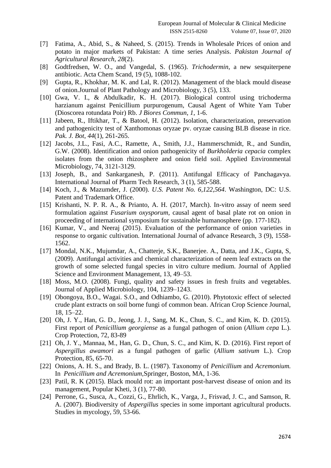- [7] Fatima, A., Abid, S., & Naheed, S. (2015). Trends in Wholesale Prices of onion and potato in major markets of Pakistan: A time series Analysis. *Pakistan Journal of Agricultural Research*, *28*(2).
- [8] Godtfredsen, W. O., and Vangedal, S. (1965). *Trichodermin*, a new sesquiterpene antibiotic. Acta Chem Scand, 19 (5), 1088-102.
- [9] Gupta, R., Khokhar, M. K. and Lal, R. (2012). Management of the black mould disease of onion.Journal of Plant Pathology and Microbiology, 3 (5), 133.
- [10] Gwa, V. I., & Abdulkadir, K. H. (2017). Biological control using trichoderma harzianum against Penicillium purpurogenum, Causal Agent of White Yam Tuber (Dioscorea rotundata Poir) Rb. *J Biores Commun*, *1*, 1-6.
- [11] Jabeen, R., Iftikhar, T., & Batool, H. (2012). Isolation, characterization, preservation and pathogenicity test of Xanthomonas oryzae pv. oryzae causing BLB disease in rice. *Pak. J. Bot*, *44*(1), 261-265.
- [12] Jacobs, J.L., Fasi, A.C., Ramette, A., Smith, J.J., Hammerschmidt, R., and Sundin, G.W. (2008). Identification and onion pathogenicity of *Burkholderia cepacia* complex isolates from the onion rhizosphere and onion field soil. Applied Environmental Microbiology, 74, 3121-3129.
- [13] Joseph, B., and Sankarganesh, P. (2011). Antifungal Efficacy of Panchagavya. International Journal of Pharm Tech Research, 3 (1), 585-588.
- [14] Koch, J., & Mazumder, J. (2000). *U.S. Patent No. 6,122,564*. Washington, DC: U.S. Patent and Trademark Office.
- [15] Krishanti, N. P. R. A., & Prianto, A. H. (2017, March). In-vitro assay of neem seed formulation against *Fusarium oxysporum*, causal agent of basal plate rot on onion in proceeding of international symposium for sustainable humanosphere (pp. 177-182).
- [16] Kumar, V., and Neeraj (2015). Evaluation of the performance of onion varieties in response to organic cultivation. International Journal of advance Research, 3 (9), 1558- 1562.
- [17] Mondal, N.K., Mujumdar, A., Chatterje, S.K., Banerjee. A., Datta, and J.K., Gupta, S, (2009). Antifungal activities and chemical characterization of neem leaf extracts on the growth of some selected fungal species in vitro culture medium. Journal of Applied Science and Environment Management, 13, 49–53.
- [18] Moss, M.O. (2008). Fungi, quality and safety issues in fresh fruits and vegetables. Journal of Applied Microbiology, 104, 1239–1243.
- [19] Obongoya, B.O., Wagai. S.O., and Odhiambo, G. (2010). Phytotoxic effect of selected crude plant extracts on soil borne fungi of common bean. African Crop Science Journal, 18, 15–22.
- [20] Oh, J. Y., Han, G. D., Jeong, J. J., Sang, M. K., Chun, S. C., and Kim, K. D. (2015). First report of *Penicillium georgiense* as a fungal pathogen of onion (*Allium cepa* L.). Crop Protection, 72, 83-89
- [21] Oh, J. Y., Mannaa, M., Han, G. D., Chun, S. C., and Kim, K. D. (2016). First report of *Aspergillus awamori* as a fungal pathogen of garlic (*Allium sativum* L.). Crop Protection, 85, 65-70.
- [22] Onions, A. H. S., and Brady, B. L. (1987). Taxonomy of *Penicillium* and *Acremonium.* In *Penicillium and Acremonium,*Springer, Boston, MA, 1-36.
- [23] Patil, R. K (2015). Black mould rot: an important post-harvest disease of onion and its management, Popular Kheti, 3 (1), 77-80.
- [24] Perrone, G., Susca, A., Cozzi, G., Ehrlich, K., Varga, J., Frisvad, J. C., and Samson, R. A. (2007). Biodiversity of *Aspergillus* species in some important agricultural products. Studies in mycology, 59, 53-66.